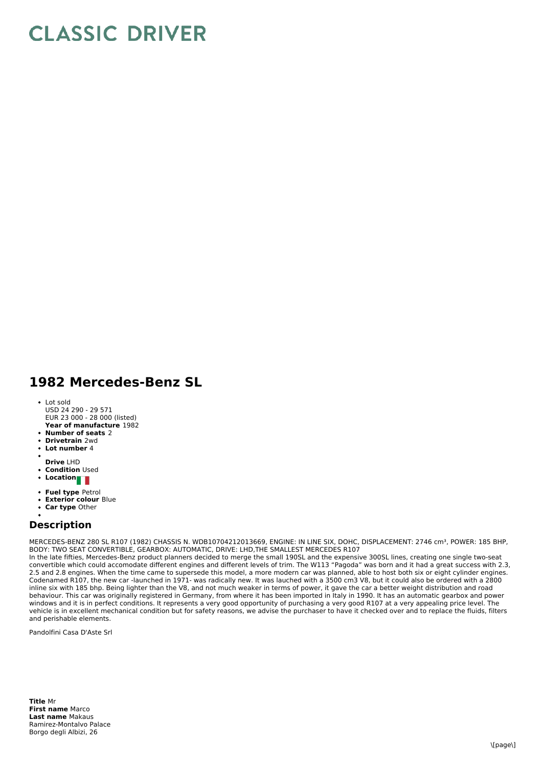## **CLASSIC DRIVER**

## **1982 Mercedes-Benz SL**

- **Year of manufacture** 1982 Lot sold USD 24 290 - 29 571 EUR 23 000 - 28 000 (listed)
- **Number of seats** 2
- **Drivetrain** 2wd
- **Lot number** 4
- 
- **Drive** LHD
- **Condition Used**
- **Location**
- **Fuel type** Petrol
- **Exterior colour** Blue
- **Car type** Other

## **Description**

MERCEDES-BENZ 280 SL R107 (1982) CHASSIS N. WDB10704212013669, ENGINE: IN LINE SIX, DOHC, DISPLACEMENT: 2746 cm3, POWER: 185 BHP, BODY: TWO SEAT CONVERTIBLE, GEARBOX: AUTOMATIC, DRIVE: LHD,THE SMALLEST MERCEDES R107

In the late fifties, Mercedes-Benz product planners decided to merge the small 190SL and the expensive 300SL lines, creating one single two-seat convertible which could accomodate different engines and different levels of trim. The W113 "Pagoda" was born and it had a great success with 2.3, 2.5 and 2.8 engines. When the time came to supersede this model, a more modern car was planned, able to host both six or eight cylinder engines. Codenamed R107, the new car -launched in 1971- was radically new. It was lauched with a 3500 cm3 V8, but it could also be ordered with a 2800 inline six with 185 bhp. Being lighter than the V8, and not much weaker in terms of power, it gave the car a better weight distribution and road behaviour. This car was originally registered in Germany, from where it has been imported in Italy in 1990. It has an automatic gearbox and power windows and it is in perfect conditions. It represents a very good opportunity of purchasing a very good R107 at a very appealing price level. The vehicle is in excellent mechanical condition but for safety reasons, we advise the purchaser to have it checked over and to replace the fluids, filters and perishable elements.

Pandolfini Casa D'Aste Srl